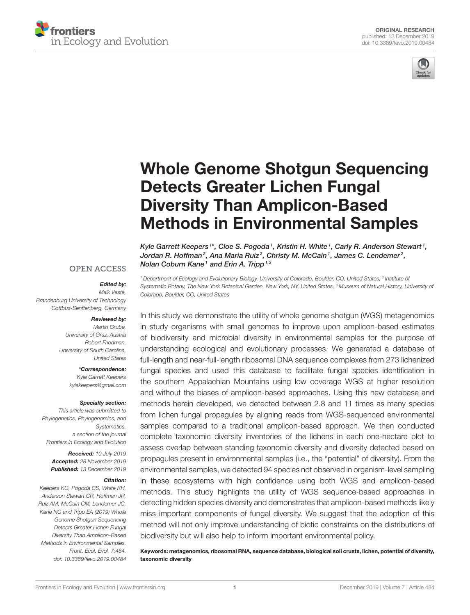



# [Whole Genome Shotgun Sequencing](https://www.frontiersin.org/articles/10.3389/fevo.2019.00484/full) Detects Greater Lichen Fungal Diversity Than Amplicon-Based Methods in Environmental Samples

[Kyle Garrett Keepers](http://loop.frontiersin.org/people/680691/overview)  $^{\text{1*}}$ , [Cloe S. Pogoda](http://loop.frontiersin.org/people/817026/overview)  $^{\text{1}}$ , Kristin H. White  $^{\text{1}}$ , Carly R. Anderson Stewart  $^{\text{1}}$ , [Jordan R. Hoffman](http://loop.frontiersin.org/people/762696/overview) $^2$ , Ana Maria Ruiz $^2$ , Christy M. McCain $^1$ , [James C. Lendemer](http://loop.frontiersin.org/people/858088/overview) $^2$ , [Nolan Coburn Kane](http://loop.frontiersin.org/people/280886/overview)<sup>1</sup> and Erin A. Tripp<sup>1,3</sup>

**OPEN ACCESS** 

#### Edited by:

*Maik Veste, Brandenburg University of Technology Cottbus-Senftenberg, Germany*

#### Reviewed by:

*Martin Grube, University of Graz, Austria Robert Friedman, University of South Carolina, United States*

> \*Correspondence: *Kyle Garrett Keepers [kylekeepers@gmail.com](mailto:kylekeepers@gmail.com)*

#### Specialty section:

*This article was submitted to Phylogenetics, Phylogenomics, and Systematics, a section of the journal Frontiers in Ecology and Evolution*

> Received: *10 July 2019* Accepted: *28 November 2019* Published: *13 December 2019*

#### Citation:

*Keepers KG, Pogoda CS, White KH, Anderson Stewart CR, Hoffman JR, Ruiz AM, McCain CM, Lendemer JC, Kane NC and Tripp EA (2019) Whole Genome Shotgun Sequencing Detects Greater Lichen Fungal Diversity Than Amplicon-Based Methods in Environmental Samples. Front. Ecol. Evol. 7:484. doi: [10.3389/fevo.2019.00484](https://doi.org/10.3389/fevo.2019.00484)*

*<sup>1</sup> Department of Ecology and Evolutionary Biology, University of Colorado, Boulder, CO, United States, <sup>2</sup> Institute of Systematic Botany, The New York Botanical Garden, New York, NY, United States, <sup>3</sup> Museum of Natural History, University of Colorado, Boulder, CO, United States*

In this study we demonstrate the utility of whole genome shotgun (WGS) metagenomics in study organisms with small genomes to improve upon amplicon-based estimates of biodiversity and microbial diversity in environmental samples for the purpose of understanding ecological and evolutionary processes. We generated a database of full-length and near-full-length ribosomal DNA sequence complexes from 273 lichenized fungal species and used this database to facilitate fungal species identification in the southern Appalachian Mountains using low coverage WGS at higher resolution and without the biases of amplicon-based approaches. Using this new database and methods herein developed, we detected between 2.8 and 11 times as many species from lichen fungal propagules by aligning reads from WGS-sequenced environmental samples compared to a traditional amplicon-based approach. We then conducted complete taxonomic diversity inventories of the lichens in each one-hectare plot to assess overlap between standing taxonomic diversity and diversity detected based on propagules present in environmental samples (i.e., the "potential" of diversity). From the environmental samples, we detected 94 species not observed in organism-level sampling in these ecosystems with high confidence using both WGS and amplicon-based methods. This study highlights the utility of WGS sequence-based approaches in detecting hidden species diversity and demonstrates that amplicon-based methods likely miss important components of fungal diversity. We suggest that the adoption of this method will not only improve understanding of biotic constraints on the distributions of biodiversity but will also help to inform important environmental policy.

Keywords: metagenomics, ribosomal RNA, sequence database, biological soil crusts, lichen, potential of diversity, taxonomic diversity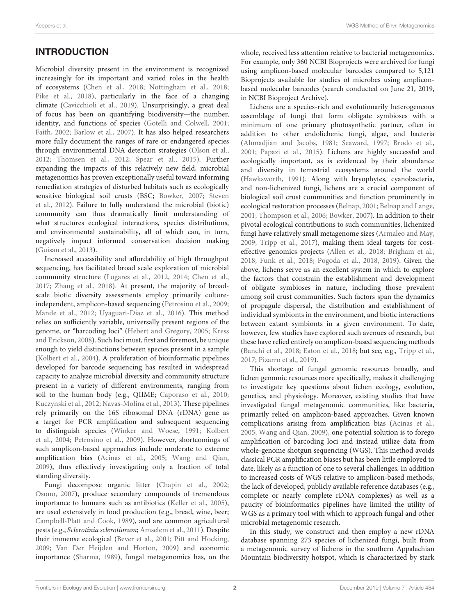## INTRODUCTION

Microbial diversity present in the environment is recognized increasingly for its important and varied roles in the health of ecosystems [\(Chen et al., 2018;](#page-11-0) [Nottingham et al., 2018;](#page-12-0) [Pike et al., 2018\)](#page-13-0), particularly in the face of a changing climate [\(Cavicchioli et al., 2019\)](#page-11-1). Unsurprisingly, a great deal of focus has been on quantifying biodiversity—the number, identity, and functions of species [\(Gotelli and Colwell, 2001;](#page-12-1) [Faith, 2002;](#page-12-2) [Barlow et al., 2007\)](#page-11-2). It has also helped researchers more fully document the ranges of rare or endangered species through environmental DNA detection strategies [\(Olson et al.,](#page-13-1) [2012;](#page-13-1) [Thomsen et al., 2012;](#page-13-2) [Spear et al., 2015\)](#page-13-3). Further expanding the impacts of this relatively new field, microbial metagenomics has proven exceptionally useful toward informing remediation strategies of disturbed habitats such as ecologically sensitive biological soil crusts (BSC; [Bowker, 2007;](#page-11-3) Steven et al., [2012\)](#page-13-4). Failure to fully understand the microbial (biotic) community can thus dramatically limit understanding of what structures ecological interactions, species distributions, and environmental sustainability, all of which can, in turn, negatively impact informed conservation decision making [\(Guisan et al., 2013\)](#page-12-3).

Increased accessibility and affordability of high throughput sequencing, has facilitated broad scale exploration of microbial community structure [\(Logares et al., 2012,](#page-12-4) [2014;](#page-12-5) [Chen et al.,](#page-11-4) [2017;](#page-11-4) [Zhang et al., 2018\)](#page-13-5). At present, the majority of broadscale biotic diversity assessments employ primarily cultureindependent, amplicon-based sequencing [\(Petrosino et al., 2009;](#page-13-6) [Mande et al., 2012;](#page-12-6) [Uyaguari-Diaz et al., 2016\)](#page-13-7). This method relies on sufficiently variable, universally present regions of the genome, or "barcoding loci" [\(Hebert and Gregory, 2005;](#page-12-7) Kress and Erickson, [2008\)](#page-12-8). Such loci must, first and foremost, be unique enough to yield distinctions between species present in a sample [\(Kolbert et al., 2004\)](#page-12-9). A proliferation of bioinformatic pipelines developed for barcode sequencing has resulted in widespread capacity to analyze microbial diversity and community structure present in a variety of different environments, ranging from soil to the human body (e.g., QIIME; [Caporaso et al., 2010;](#page-11-5) [Kuczynski et al., 2012;](#page-12-10) [Navas-Molina et al., 2013\)](#page-12-11). These pipelines rely primarily on the 16S ribosomal DNA (rDNA) gene as a target for PCR amplification and subsequent sequencing to distinguish species [\(Winker and Woese, 1991;](#page-13-8) Kolbert et al., [2004;](#page-12-9) [Petrosino et al., 2009\)](#page-13-6). However, shortcomings of such amplicon-based approaches include moderate to extreme amplification bias [\(Acinas et al., 2005;](#page-11-6) [Wang and Qian,](#page-13-9) [2009\)](#page-13-9), thus effectively investigating only a fraction of total standing diversity.

Fungi decompose organic litter [\(Chapin et al., 2002;](#page-11-7) [Osono, 2007\)](#page-13-10), produce secondary compounds of tremendous importance to humans such as antibiotics [\(Keller et al., 2005\)](#page-12-12), are used extensively in food production (e.g., bread, wine, beer; [Campbell-Platt and Cook, 1989\)](#page-11-8), and are common agricultural pests (e.g., Sclerotinia sclerotiorum; [Amselem et al., 2011\)](#page-11-9). Despite their immense ecological [\(Bever et al., 2001;](#page-11-10) [Pitt and Hocking,](#page-13-11) [2009;](#page-13-11) [Van Der Heijden and Horton, 2009\)](#page-13-12) and economic importance [\(Sharma, 1989\)](#page-13-13), fungal metagenomics has, on the whole, received less attention relative to bacterial metagenomics. For example, only 360 NCBI Bioprojects were archived for fungi using amplicon-based molecular barcodes compared to 5,121 Bioprojects available for studies of microbes using ampliconbased molecular barcodes (search conducted on June 21, 2019, in NCBI Bioproject Archive).

Lichens are a species-rich and evolutionarily heterogeneous assemblage of fungi that form obligate symbioses with a minimum of one primary photosynthetic partner, often in addition to other endolichenic fungi, algae, and bacteria [\(Ahmadjian and Jacobs, 1981;](#page-11-11) [Seaward, 1997;](#page-13-14) [Brodo et al.,](#page-11-12) [2001;](#page-11-12) [Papazi et al., 2015\)](#page-13-15). Lichens are highly successful and ecologically important, as is evidenced by their abundance and diversity in terrestrial ecosystems around the world [\(Hawksworth, 1991\)](#page-12-13). Along with bryophytes, cyanobacteria, and non-lichenized fungi, lichens are a crucial component of biological soil crust communities and function prominently in ecological restoration processes [\(Belnap, 2001;](#page-11-13) [Belnap and Lange,](#page-11-14) [2001;](#page-11-14) [Thompson et al., 2006;](#page-13-16) [Bowker, 2007\)](#page-11-3). In addition to their pivotal ecological contributions to such communities, lichenized fungi have relatively small metagenome sizes [\(Armaleo and May,](#page-11-15) [2009;](#page-11-15) [Tripp et al., 2017\)](#page-13-17), making them ideal targets for costeffective genomics projects [\(Allen et al., 2018;](#page-11-16) [Brigham et al.,](#page-11-17) [2018;](#page-11-17) [Funk et al., 2018;](#page-12-14) [Pogoda et al., 2018,](#page-13-18) [2019\)](#page-13-19). Given the above, lichens serve as an excellent system in which to explore the factors that constrain the establishment and development of obligate symbioses in nature, including those prevalent among soil crust communities. Such factors span the dynamics of propagule dispersal, the distribution and establishment of individual symbionts in the environment, and biotic interactions between extant symbionts in a given environment. To date, however, few studies have explored such avenues of research, but these have relied entirely on amplicon-based sequencing methods [\(Banchi et al., 2018;](#page-11-18) [Eaton et al., 2018;](#page-12-15) but see, e.g., [Tripp et al.,](#page-13-17) [2017;](#page-13-17) [Pizarro et al., 2019\)](#page-13-20).

This shortage of fungal genomic resources broadly, and lichen genomic resources more specifically, makes it challenging to investigate key questions about lichen ecology, evolution, genetics, and physiology. Moreover, existing studies that have investigated fungal metagenomic communities, like bacteria, primarily relied on amplicon-based approaches. Given known complications arising from amplification bias [\(Acinas et al.,](#page-11-6) [2005;](#page-11-6) [Wang and Qian, 2009\)](#page-13-9), one potential solution is to forego amplification of barcoding loci and instead utilize data from whole-genome shotgun sequencing (WGS). This method avoids classical PCR amplification biases but has been little employed to date, likely as a function of one to several challenges. In addition to increased costs of WGS relative to amplicon-based methods, the lack of developed, publicly available reference databases (e.g., complete or nearly complete rDNA complexes) as well as a paucity of bioinformatics pipelines have limited the utility of WGS as a primary tool with which to approach fungal and other microbial metagenomic research.

In this study, we construct and then employ a new rDNA database spanning 273 species of lichenized fungi, built from a metagenomic survey of lichens in the southern Appalachian Mountain biodiversity hotspot, which is characterized by stark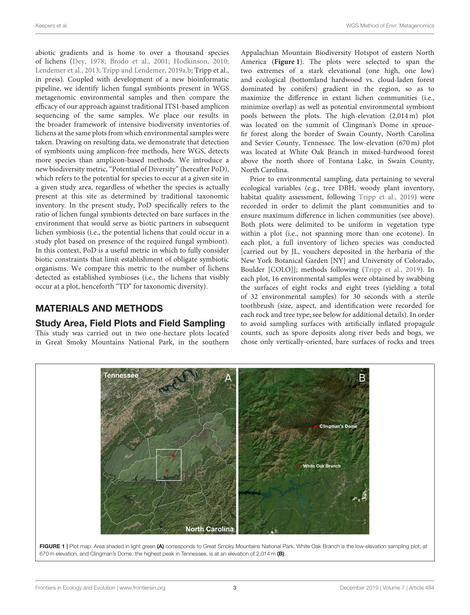abiotic gradients and is home to over a thousand species of lichens [\(Dey, 1978;](#page-12-16) [Brodo et al., 2001;](#page-11-12) [Hodkinson, 2010;](#page-12-17) [Lendemer et al., 2013;](#page-12-18) [Tripp and Lendemer, 2019a](#page-13-21)[,b;](#page-13-22) Tripp et al., in press). Coupled with development of a new bioinformatic pipeline, we identify lichen fungal symbionts present in WGS metagenomic environmental samples and then compare the efficacy of our approach against traditional ITS1-based amplicon sequencing of the same samples. We place our results in the broader framework of intensive biodiversity inventories of lichens at the same plots from which environmental samples were taken. Drawing on resulting data, we demonstrate that detection of symbionts using amplicon-free methods, here WGS, detects more species than amplicon-based methods. We introduce a new biodiversity metric, "Potential of Diversity" (hereafter PoD), which refers to the potential for species to occur at a given site in a given study area, regardless of whether the species is actually present at this site as determined by traditional taxonomic inventory. In the present study, PoD specifically refers to the ratio of lichen fungal symbionts detected on bare surfaces in the environment that would serve as biotic partners in subsequent lichen symbiosis (i.e., the potential lichens that could occur in a study plot based on presence of the required fungal symbiont). In this context, PoD is a useful metric in which to fully consider biotic constraints that limit establishment of obligate symbiotic organisms. We compare this metric to the number of lichens detected as established symbioses (i.e., the lichens that visibly occur at a plot, henceforth "TD" for taxonomic diversity).

### MATERIALS AND METHODS

#### Study Area, Field Plots and Field Sampling

This study was carried out in two one-hectare plots located in Great Smoky Mountains National Park, in the southern Appalachian Mountain Biodiversity Hotspot of eastern North America (**[Figure 1](#page-2-0)**). The plots were selected to span the two extremes of a stark elevational (one high, one low) and ecological (bottomland hardwood vs. cloud-laden forest dominated by conifers) gradient in the region, so as to maximize the difference in extant lichen communities (i.e., minimize overlap) as well as potential environmental symbiont pools between the plots. The high-elevation (2,014 m) plot was located on the summit of Clingman's Dome in sprucefir forest along the border of Swain County, North Carolina and Sevier County, Tennessee. The low-elevation (670 m) plot was located at White Oak Branch in mixed-hardwood forest above the north shore of Fontana Lake, in Swain County, North Carolina.

Prior to environmental sampling, data pertaining to several ecological variables (e.g., tree DBH, woody plant inventory, habitat quality assessment, following [Tripp et al., 2019\)](#page-13-23) were recorded in order to delimit the plant communities and to ensure maximum difference in lichen communities (see above). Both plots were delimited to be uniform in vegetation type within a plot (i.e., not spanning more than one ecotone). In each plot, a full inventory of lichen species was conducted [carried out by JL, vouchers deposited in the herbaria of the New York Botanical Garden [NY] and University of Colorado, Boulder [COLO]]; methods following [\(Tripp et al., 2019\)](#page-13-23). In each plot, 16 environmental samples were obtained by swabbing the surfaces of eight rocks and eight trees (yielding a total of 32 environmental samples) for 30 seconds with a sterile toothbrush (size, aspect, and identification were recorded for each rock and tree type; see below for additional details). In order to avoid sampling surfaces with artificially inflated propagule counts, such as spore deposits along river beds and bogs, we chose only vertically-oriented, bare surfaces of rocks and trees

<span id="page-2-0"></span>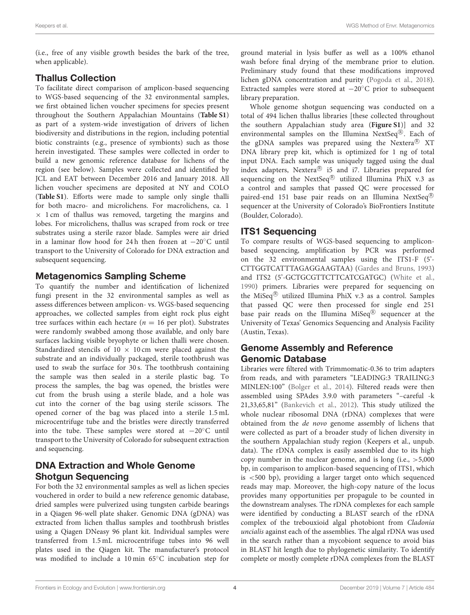(i.e., free of any visible growth besides the bark of the tree, when applicable).

#### Thallus Collection

To facilitate direct comparison of amplicon-based sequencing to WGS-based sequencing of the 32 environmental samples, we first obtained lichen voucher specimens for species present throughout the Southern Appalachian Mountains (**[Table S1](#page-11-19)**) as part of a system-wide investigation of drivers of lichen biodiversity and distributions in the region, including potential biotic constraints (e.g., presence of symbionts) such as those herein investigated. These samples were collected in order to build a new genomic reference database for lichens of the region (see below). Samples were collected and identified by JCL and EAT between December 2016 and January 2018. All lichen voucher specimens are deposited at NY and COLO (**[Table S1](#page-11-19)**). Efforts were made to sample only single thalli for both macro- and microlichens. For macrolichens, ca. 1  $\times$  1 cm of thallus was removed, targeting the margins and lobes. For microlichens, thallus was scraped from rock or tree substrates using a sterile razor blade. Samples were air dried in a laminar flow hood for 24 h then frozen at −20◦C until transport to the University of Colorado for DNA extraction and subsequent sequencing.

#### Metagenomics Sampling Scheme

To quantify the number and identification of lichenized fungi present in the 32 environmental samples as well as assess differences between amplicon- vs. WGS-based sequencing approaches, we collected samples from eight rock plus eight tree surfaces within each hectare ( $n = 16$  per plot). Substrates were randomly swabbed among those available, and only bare surfaces lacking visible bryophyte or lichen thalli were chosen. Standardized stencils of  $10 \times 10$  cm were placed against the substrate and an individually packaged, sterile toothbrush was used to swab the surface for 30 s. The toothbrush containing the sample was then sealed in a sterile plastic bag. To process the samples, the bag was opened, the bristles were cut from the brush using a sterile blade, and a hole was cut into the corner of the bag using sterile scissors. The opened corner of the bag was placed into a sterile 1.5 mL microcentrifuge tube and the bristles were directly transferred into the tube. These samples were stored at −20◦C until transport to the University of Colorado for subsequent extraction and sequencing.

#### DNA Extraction and Whole Genome Shotgun Sequencing

For both the 32 environmental samples as well as lichen species vouchered in order to build a new reference genomic database, dried samples were pulverized using tungsten carbide bearings in a Qiagen 96-well plate shaker. Genomic DNA (gDNA) was extracted from lichen thallus samples and toothbrush bristles using a Qiagen DNeasy 96 plant kit. Individual samples were transferred from 1.5 mL microcentrifuge tubes into 96 well plates used in the Qiagen kit. The manufacturer's protocol was modified to include a 10 min 65◦C incubation step for

ground material in lysis buffer as well as a 100% ethanol wash before final drying of the membrane prior to elution. Preliminary study found that these modifications improved lichen gDNA concentration and purity [\(Pogoda et al., 2018\)](#page-13-18). Extracted samples were stored at −20◦C prior to subsequent library preparation.

Whole genome shotgun sequencing was conducted on a total of 494 lichen thallus libraries [these collected throughout the southern Appalachian study area (**[Figure S1](#page-11-19)**)] and 32 environmental samples on the Illumina NextSeq®. Each of the gDNA samples was prepared using the Nextera<sup>®</sup> XT DNA library prep kit, which is optimized for 1 ng of total input DNA. Each sample was uniquely tagged using the dual index adapters, Nextera<sup>®</sup> i5 and i7. Libraries prepared for sequencing on the NextSeq $\textcircled{B}$  utilized Illumina PhiX v.3 as a control and samples that passed QC were processed for paired-end 151 base pair reads on an Illumina NextSeq® sequencer at the University of Colorado's BioFrontiers Institute (Boulder, Colorado).

#### ITS1 Sequencing

To compare results of WGS-based sequencing to ampliconbased sequencing, amplification by PCR was performed on the 32 environmental samples using the ITS1-F (5'- CTTGGTCATTTAGAGGAAGTAA) [\(Gardes and Bruns, 1993\)](#page-12-19) and ITS2 (5'-GCTGCGTTCTTCATCGATGC) [\(White et al.,](#page-13-24) [1990\)](#page-13-24) primers. Libraries were prepared for sequencing on the MiSeq<sup>®</sup> utilized Illumina PhiX v.3 as a control. Samples that passed QC were then processed for single end 251 base pair reads on the Illumina MiSeq $\mathcal{B}$  sequencer at the University of Texas' Genomics Sequencing and Analysis Facility (Austin, Texas).

#### Genome Assembly and Reference Genomic Database

Libraries were filtered with Trimmomatic-0.36 to trim adapters from reads, and with parameters "LEADING:3 TRAILING:3 MINLEN:100" [\(Bolger et al., 2014\)](#page-11-20). Filtered reads were then assembled using SPAdes 3.9.0 with parameters "–careful -k 21,33,65,81" [\(Bankevich et al., 2012\)](#page-11-21). This study utilized the whole nuclear ribosomal DNA (rDNA) complexes that were obtained from the de novo genome assembly of lichens that were collected as part of a broader study of lichen diversity in the southern Appalachian study region (Keepers et al., unpub. data). The rDNA complex is easily assembled due to its high copy number in the nuclear genome, and is long (i.e.,  $>5,000$ bp, in comparison to amplicon-based sequencing of ITS1, which is <500 bp), providing a larger target onto which sequenced reads may map. Moreover, the high-copy nature of the locus provides many opportunities per propagule to be counted in the downstream analyses. The rDNA complexes for each sample were identified by conducting a BLAST search of the rDNA complex of the trebouxioid algal photobiont from Cladonia uncialis against each of the assemblies. The algal rDNA was used in the search rather than a mycobiont sequence to avoid bias in BLAST hit length due to phylogenetic similarity. To identify complete or mostly complete rDNA complexes from the BLAST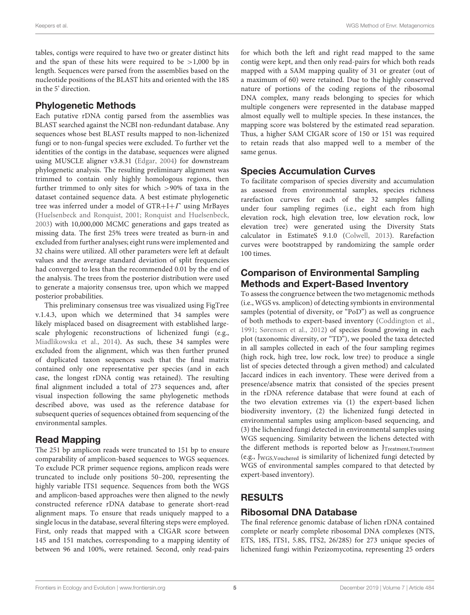tables, contigs were required to have two or greater distinct hits and the span of these hits were required to be  $>1,000$  bp in length. Sequences were parsed from the assemblies based on the nucleotide positions of the BLAST hits and oriented with the 18S in the 5' direction.

### Phylogenetic Methods

Each putative rDNA contig parsed from the assemblies was BLAST searched against the NCBI non-redundant database. Any sequences whose best BLAST results mapped to non-lichenized fungi or to non-fungal species were excluded. To further vet the identities of the contigs in the database, sequences were aligned using MUSCLE aligner v3.8.31 [\(Edgar, 2004\)](#page-12-20) for downstream phylogenetic analysis. The resulting preliminary alignment was trimmed to contain only highly homologous regions, then further trimmed to only sites for which >90% of taxa in the dataset contained sequence data. A best estimate phylogenetic tree was inferred under a model of GTR+I+Γ using MrBayes [\(Huelsenbeck and Ronquist, 2001;](#page-12-21) [Ronquist and Huelsenbeck,](#page-13-25) [2003\)](#page-13-25) with 10,000,000 MCMC generations and gaps treated as missing data. The first 25% trees were treated as burn-in and excluded from further analyses; eight runs were implemented and 32 chains were utilized. All other parameters were left at default values and the average standard deviation of split frequencies had converged to less than the recommended 0.01 by the end of the analysis. The trees from the posterior distribution were used to generate a majority consensus tree, upon which we mapped posterior probabilities.

This preliminary consensus tree was visualized using FigTree v.1.4.3, upon which we determined that 34 samples were likely misplaced based on disagreement with established largescale phylogenic reconstructions of lichenized fungi (e.g., [Miadlikowska et al., 2014\)](#page-12-22). As such, these 34 samples were excluded from the alignment, which was then further pruned of duplicated taxon sequences such that the final matrix contained only one representative per species (and in each case, the longest rDNA contig was retained). The resulting final alignment included a total of 273 sequences and, after visual inspection following the same phylogenetic methods described above, was used as the reference database for subsequent queries of sequences obtained from sequencing of the environmental samples.

#### Read Mapping

The 251 bp amplicon reads were truncated to 151 bp to ensure comparability of amplicon-based sequences to WGS sequences. To exclude PCR primer sequence regions, amplicon reads were truncated to include only positions 50–200, representing the highly variable ITS1 sequence. Sequences from both the WGS and amplicon-based approaches were then aligned to the newly constructed reference rDNA database to generate short-read alignment maps. To ensure that reads uniquely mapped to a single locus in the database, several filtering steps were employed. First, only reads that mapped with a CIGAR score between 145 and 151 matches, corresponding to a mapping identity of between 96 and 100%, were retained. Second, only read-pairs for which both the left and right read mapped to the same contig were kept, and then only read-pairs for which both reads mapped with a SAM mapping quality of 31 or greater (out of a maximum of 60) were retained. Due to the highly conserved nature of portions of the coding regions of the ribosomal DNA complex, many reads belonging to species for which multiple congeners were represented in the database mapped almost equally well to multiple species. In these instances, the mapping score was bolstered by the estimated read separation. Thus, a higher SAM CIGAR score of 150 or 151 was required to retain reads that also mapped well to a member of the same genus.

### Species Accumulation Curves

To facilitate comparison of species diversity and accumulation as assessed from environmental samples, species richness rarefaction curves for each of the 32 samples falling under four sampling regimes (i.e., eight each from high elevation rock, high elevation tree, low elevation rock, low elevation tree) were generated using the Diversity Stats calculator in EstimateS 9.1.0 [\(Colwell, 2013\)](#page-12-23). Rarefaction curves were bootstrapped by randomizing the sample order 100 times.

#### Comparison of Environmental Sampling Methods and Expert-Based Inventory

To assess the congruence between the two metagenomic methods (i.e., WGS vs. amplicon) of detecting symbionts in environmental samples (potential of diversity, or "PoD") as well as congruence of both methods to expert-based inventory [\(Coddington et al.,](#page-12-24) [1991;](#page-12-24) [Sørensen et al., 2012\)](#page-13-26) of species found growing in each plot (taxonomic diversity, or "TD"), we pooled the taxa detected in all samples collected in each of the four sampling regimes (high rock, high tree, low rock, low tree) to produce a single list of species detected through a given method) and calculated Jaccard indices in each inventory. These were derived from a presence/absence matrix that consisted of the species present in the rDNA reference database that were found at each of the two elevation extremes via (1) the expert-based lichen biodiversity inventory, (2) the lichenized fungi detected in environmental samples using amplicon-based sequencing, and (3) the lichenized fungi detected in environmental samples using WGS sequencing. Similarity between the lichens detected with the different methods is reported below as JTreatment, Treatment (e.g., JWGS,Vouchered is similarity of lichenized fungi detected by WGS of environmental samples compared to that detected by expert-based inventory).

### RESULTS

#### Ribosomal DNA Database

The final reference genomic database of lichen rDNA contained complete or nearly complete ribosomal DNA complexes (NTS, ETS, 18S, ITS1, 5.8S, ITS2, 26/28S) for 273 unique species of lichenized fungi within Pezizomycotina, representing 25 orders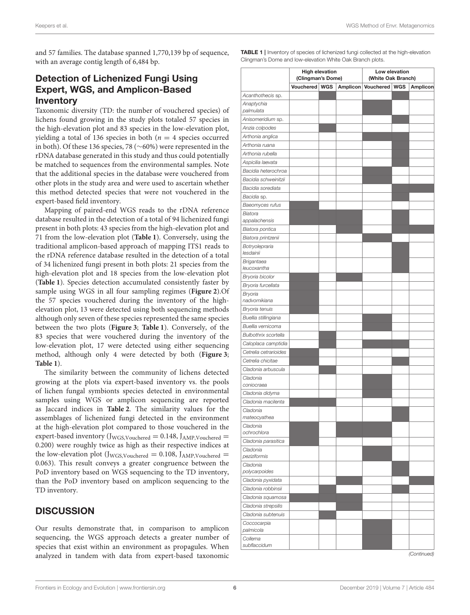and 57 families. The database spanned 1,770,139 bp of sequence, with an average contig length of 6,484 bp.

### Detection of Lichenized Fungi Using Expert, WGS, and Amplicon-Based **Inventory**

Taxonomic diversity (TD: the number of vouchered species) of lichens found growing in the study plots totaled 57 species in the high-elevation plot and 83 species in the low-elevation plot, yielding a total of 136 species in both ( $n = 4$  species occurred in both). Of these 136 species, 78 (∼60%) were represented in the rDNA database generated in this study and thus could potentially be matched to sequences from the environmental samples. Note that the additional species in the database were vouchered from other plots in the study area and were used to ascertain whether this method detected species that were not vouchered in the expert-based field inventory.

Mapping of paired-end WGS reads to the rDNA reference database resulted in the detection of a total of 94 lichenized fungi present in both plots: 43 species from the high-elevation plot and 71 from the low-elevation plot (**[Table 1](#page-5-0)**). Conversely, using the traditional amplicon-based approach of mapping ITS1 reads to the rDNA reference database resulted in the detection of a total of 34 lichenized fungi present in both plots: 21 species from the high-elevation plot and 18 species from the low-elevation plot (**[Table 1](#page-5-0)**). Species detection accumulated consistently faster by sample using WGS in all four sampling regimes (**[Figure 2](#page-9-0)**).Of the 57 species vouchered during the inventory of the highelevation plot, 13 were detected using both sequencing methods although only seven of these species represented the same species between the two plots (**[Figure 3](#page-9-1)**; **[Table 1](#page-5-0)**). Conversely, of the 83 species that were vouchered during the inventory of the low-elevation plot, 17 were detected using either sequencing method, although only 4 were detected by both (**[Figure 3](#page-9-1)**; **[Table 1](#page-5-0)**).

The similarity between the community of lichens detected growing at the plots via expert-based inventory vs. the pools of lichen fungal symbionts species detected in environmental samples using WGS or amplicon sequencing are reported as Jaccard indices in **[Table 2](#page-10-0)**. The similarity values for the assemblages of lichenized fungi detected in the environment at the high-elevation plot compared to those vouchered in the expert-based inventory  $(J_{WGS,Vouched} = 0.148, J_{AMP,Vouched} =$ 0.200) were roughly twice as high as their respective indices at the low-elevation plot (J<sub>WGS,Vouchered</sub> = 0.108, J<sub>AMP,Vouchered</sub> = 0.063). This result conveys a greater congruence between the PoD inventory based on WGS sequencing to the TD inventory, than the PoD inventory based on amplicon sequencing to the TD inventory.

#### **DISCUSSION**

Our results demonstrate that, in comparison to amplicon sequencing, the WGS approach detects a greater number of species that exist within an environment as propagules. When analyzed in tandem with data from expert-based taxonomic <span id="page-5-0"></span>TABLE 1 | Inventory of species of lichenized fungi collected at the high-elevation Clingman's Dome and low-elevation White Oak Branch plots.

|                             | <b>High elevation</b><br>(Clingman's Dome) |  | Low elevation<br>(White Oak Branch) |               |  |          |
|-----------------------------|--------------------------------------------|--|-------------------------------------|---------------|--|----------|
|                             | Vouchered WGS                              |  | Amplicon                            | Vouchered WGS |  | Amplicon |
| Acanthothecis sp.           |                                            |  |                                     |               |  |          |
| Anaptychia<br>palmulata     |                                            |  |                                     |               |  |          |
| Anisomeridium sp.           |                                            |  |                                     |               |  |          |
| Anzia colpodes              |                                            |  |                                     |               |  |          |
| Arthonia anglica            |                                            |  |                                     |               |  |          |
| Arthonia ruana              |                                            |  |                                     |               |  |          |
| Arthonia rubella            |                                            |  |                                     |               |  |          |
| Aspicilia laevata           |                                            |  |                                     |               |  |          |
| Bacidia heterochroa         |                                            |  |                                     |               |  |          |
| Bacidia schweinitzii        |                                            |  |                                     |               |  |          |
| Bacidia sorediata           |                                            |  |                                     |               |  |          |
| Bacidia sp.                 |                                            |  |                                     |               |  |          |
| Baeomyces rufus             |                                            |  |                                     |               |  |          |
| Biatora                     |                                            |  |                                     |               |  |          |
| appalachensis               |                                            |  |                                     |               |  |          |
| Biatora pontica             |                                            |  |                                     |               |  |          |
| Biatora printzenii          |                                            |  |                                     |               |  |          |
| Botryolepraria<br>lesdainii |                                            |  |                                     |               |  |          |
| Brigantaea<br>leucoxantha   |                                            |  |                                     |               |  |          |
| Bryoria bicolor             |                                            |  |                                     |               |  |          |
| Bryoria furcellata          |                                            |  |                                     |               |  |          |
| Bryoria                     |                                            |  |                                     |               |  |          |
| nadvornikiana               |                                            |  |                                     |               |  |          |
| Bryoria tenuis              |                                            |  |                                     |               |  |          |
| Buellia stillingiana        |                                            |  |                                     |               |  |          |
| Buellia vernicoma           |                                            |  |                                     |               |  |          |
| Bulbothrix scortella        |                                            |  |                                     |               |  |          |
| Caloplaca camptidia         |                                            |  |                                     |               |  |          |
| Cetrelia cetrarioides       |                                            |  |                                     |               |  |          |
| Cetrelia chicitae           |                                            |  |                                     |               |  |          |
| Cladonia arbuscula          |                                            |  |                                     |               |  |          |
| Cladonia<br>coniocraea      |                                            |  |                                     |               |  |          |
| Cladonia didyma             |                                            |  |                                     |               |  |          |
| Cladonia macilenta          |                                            |  |                                     |               |  |          |
| Cladonia                    |                                            |  |                                     |               |  |          |
| mateocyathea                |                                            |  |                                     |               |  |          |
| Cladonia<br>ochrochlora     |                                            |  |                                     |               |  |          |
| Cladonia parasitica         |                                            |  |                                     |               |  |          |
| Cladonia<br>peziziformis    |                                            |  |                                     |               |  |          |
| Cladonia                    |                                            |  |                                     |               |  |          |
| polycarpoides               |                                            |  |                                     |               |  |          |
| Cladonia pyxidata           |                                            |  |                                     |               |  |          |
| Cladonia robbinsii          |                                            |  |                                     |               |  |          |
| Cladonia squamosa           |                                            |  |                                     |               |  |          |
| Cladonia strepsilis         |                                            |  |                                     |               |  |          |
| Cladonia subtenuis          |                                            |  |                                     |               |  |          |
| Coccocarpia<br>palmicola    |                                            |  |                                     |               |  |          |
| Collema                     |                                            |  |                                     |               |  |          |
| subflaccidum                |                                            |  |                                     |               |  |          |

*(Continued)*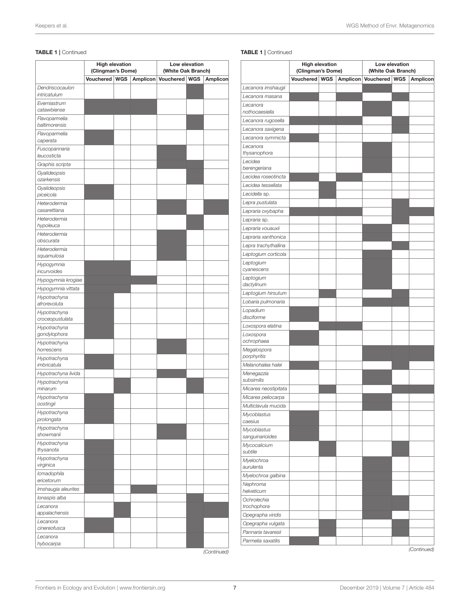#### TABLE 1 | Continued

|                                 | <b>High elevation</b><br>(Clingman's Dome) |  | Low elevation<br>(White Oak Branch) |                        |  |          |
|---------------------------------|--------------------------------------------|--|-------------------------------------|------------------------|--|----------|
|                                 | Vouchered   WGS                            |  |                                     | Amplicon Vouchered WGS |  | Amplicon |
| Dendriscocaulon<br>intricatulum |                                            |  |                                     |                        |  |          |
| Everniastrum<br>catawbiense     |                                            |  |                                     |                        |  |          |
| Flavoparmelia<br>baltimorensis  |                                            |  |                                     |                        |  |          |
| Flavoparmelia<br>caperata       |                                            |  |                                     |                        |  |          |
| Fuscopannaria<br>leucosticta    |                                            |  |                                     |                        |  |          |
| Graphis scripta                 |                                            |  |                                     |                        |  |          |
| Gyalideopsis<br>ozarkensis      |                                            |  |                                     |                        |  |          |
| Gyalideopsis<br>piceicola       |                                            |  |                                     |                        |  |          |
| Heterodermia<br>casarettiana    |                                            |  |                                     |                        |  |          |
| Heterodermia<br>hypoleuca       |                                            |  |                                     |                        |  |          |
| Heterodermia<br>obscurata       |                                            |  |                                     |                        |  |          |
| Heterodermia<br>squamulosa      |                                            |  |                                     |                        |  |          |
| Hypogymnia<br>incurvoides       |                                            |  |                                     |                        |  |          |
| Hypogymnia krogiae              |                                            |  |                                     |                        |  |          |
| Hypogymnia vittata              |                                            |  |                                     |                        |  |          |
| Hypotrachyna<br>afrorevoluta    |                                            |  |                                     |                        |  |          |
| Hypotrachyna<br>croceopustulata |                                            |  |                                     |                        |  |          |
| Hypotrachyna<br>gondylophora    |                                            |  |                                     |                        |  |          |
| Hypotrachyna<br>horrescens      |                                            |  |                                     |                        |  |          |
| Hypotrachyna<br>imbricatula     |                                            |  |                                     |                        |  |          |
| Hypotrachyna livida             |                                            |  |                                     |                        |  |          |
| Hypotrachyna<br>minarum         |                                            |  |                                     |                        |  |          |
| Hypotrachyna<br>oostingii       |                                            |  |                                     |                        |  |          |
| Hypotrachyna<br>prolongata      |                                            |  |                                     |                        |  |          |
| Hypotrachyna<br>showmanii       |                                            |  |                                     |                        |  |          |
| Hypotrachyna<br>thysanota       |                                            |  |                                     |                        |  |          |
| Hypotrachyna<br>virginica       |                                            |  |                                     |                        |  |          |
| Icmadophila<br>ericetorum       |                                            |  |                                     |                        |  |          |
| Imshaugia aleurites             |                                            |  |                                     |                        |  |          |
| Ionaspis alba                   |                                            |  |                                     |                        |  |          |
| Lecanora<br>appalachensis       |                                            |  |                                     |                        |  |          |
| Lecanora<br>cinereofusca        |                                            |  |                                     |                        |  |          |
| Lecanora<br>hybocarpa           |                                            |  |                                     |                        |  |          |

#### TABLE 1 | Continued

|                                     | <b>High elevation</b> |  | Low elevation<br>(White Oak Branch) |                        |  |             |
|-------------------------------------|-----------------------|--|-------------------------------------|------------------------|--|-------------|
|                                     | (Clingman's Dome)     |  |                                     |                        |  |             |
|                                     | Vouchered WGS         |  |                                     | Amplicon Vouchered WGS |  | Amplicon    |
| Lecanora imshaugii                  |                       |  |                                     |                        |  |             |
| Lecanora masana<br>Lecanora         |                       |  |                                     |                        |  |             |
| nothocaesiella                      |                       |  |                                     |                        |  |             |
| Lecanora rugosella                  |                       |  |                                     |                        |  |             |
| Lecanora saxigena                   |                       |  |                                     |                        |  |             |
| Lecanora symmicta                   |                       |  |                                     |                        |  |             |
| Lecanora                            |                       |  |                                     |                        |  |             |
| thysanophora                        |                       |  |                                     |                        |  |             |
| Lecidea                             |                       |  |                                     |                        |  |             |
| berengeriana<br>Lecidea roseotincta |                       |  |                                     |                        |  |             |
| Lecidea tessellata                  |                       |  |                                     |                        |  |             |
| Lecidella sp.                       |                       |  |                                     |                        |  |             |
| Lepra pustulata                     |                       |  |                                     |                        |  |             |
| Lepraria oxybapha                   |                       |  |                                     |                        |  |             |
| Lepraria sp.                        |                       |  |                                     |                        |  |             |
| Lepraria vouauxii                   |                       |  |                                     |                        |  |             |
| Lepraria xanthonica                 |                       |  |                                     |                        |  |             |
| Lepra trachythallina                |                       |  |                                     |                        |  |             |
| Leptogium corticola                 |                       |  |                                     |                        |  |             |
| Leptogium                           |                       |  |                                     |                        |  |             |
| cyanescens                          |                       |  |                                     |                        |  |             |
| Leptogium<br>dactylinum             |                       |  |                                     |                        |  |             |
| Leptogium hirsutum                  |                       |  |                                     |                        |  |             |
| Lobaria pulmonaria                  |                       |  |                                     |                        |  |             |
| Lopadium<br>disciforme              |                       |  |                                     |                        |  |             |
| Loxospora elatina                   |                       |  |                                     |                        |  |             |
| Loxospora                           |                       |  |                                     |                        |  |             |
| ochrophaea                          |                       |  |                                     |                        |  |             |
| Megalospora<br>porphyritis          |                       |  |                                     |                        |  |             |
| Melanohalea halei                   |                       |  |                                     |                        |  |             |
| Menegazzia<br>subsimilis            |                       |  |                                     |                        |  |             |
| Micarea neostipitata                |                       |  |                                     |                        |  |             |
| Micarea peliocarpa                  |                       |  |                                     |                        |  |             |
| Multiclavula mucida                 |                       |  |                                     |                        |  |             |
| Mycoblastus<br>caesius              |                       |  |                                     |                        |  |             |
| Mycoblastus                         |                       |  |                                     |                        |  |             |
| sanguinarioides                     |                       |  |                                     |                        |  |             |
| Mycocalicium<br>subtile             |                       |  |                                     |                        |  |             |
| Myelochroa                          |                       |  |                                     |                        |  |             |
| aurulenta                           |                       |  |                                     |                        |  |             |
| Myelochroa galbina                  |                       |  |                                     |                        |  |             |
| Nephroma<br>helveticum              |                       |  |                                     |                        |  |             |
| Ochrolechia                         |                       |  |                                     |                        |  |             |
| trochophora                         |                       |  |                                     |                        |  |             |
| Opegrapha viridis                   |                       |  |                                     |                        |  |             |
| Opegrapha vulgata                   |                       |  |                                     |                        |  |             |
| Pannaria tavaresii                  |                       |  |                                     |                        |  |             |
| Parmelia saxatilis                  |                       |  |                                     |                        |  | (Continued) |

*(Continued)*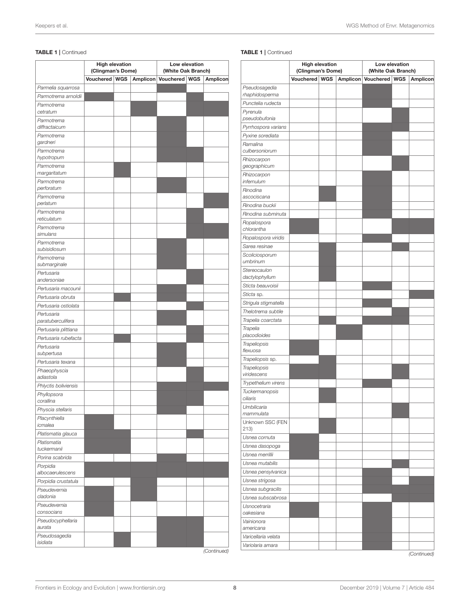#### TABLE 1 | Continued

|                                 | <b>High elevation</b><br>(Clingman's Dome) |  | Low elevation<br>(White Oak Branch) |                        |  |                 |
|---------------------------------|--------------------------------------------|--|-------------------------------------|------------------------|--|-----------------|
|                                 | Vouchered   WGS                            |  |                                     | Amplicon Vouchered WGS |  | <b>Amplicon</b> |
| Parmelia squarrosa              |                                            |  |                                     |                        |  |                 |
| Parmotrema arnoldii             |                                            |  |                                     |                        |  |                 |
| Parmotrema                      |                                            |  |                                     |                        |  |                 |
| cetratum                        |                                            |  |                                     |                        |  |                 |
| Parmotrema<br>diffractaicum     |                                            |  |                                     |                        |  |                 |
| Parmotrema<br>gardneri          |                                            |  |                                     |                        |  |                 |
| Parmotrema                      |                                            |  |                                     |                        |  |                 |
| hypotropum                      |                                            |  |                                     |                        |  |                 |
| Parmotrema<br>margaritatum      |                                            |  |                                     |                        |  |                 |
| Parmotrema<br>perforatum        |                                            |  |                                     |                        |  |                 |
| Parmotrema                      |                                            |  |                                     |                        |  |                 |
| perlatum                        |                                            |  |                                     |                        |  |                 |
| Parmotrema<br>reticulatum       |                                            |  |                                     |                        |  |                 |
| Parmotrema<br>simulans          |                                            |  |                                     |                        |  |                 |
| Parmotrema<br>subisidiosum      |                                            |  |                                     |                        |  |                 |
| Parmotrema                      |                                            |  |                                     |                        |  |                 |
| submarginale                    |                                            |  |                                     |                        |  |                 |
| Pertusaria<br>andersoniae       |                                            |  |                                     |                        |  |                 |
| Pertusaria macounii             |                                            |  |                                     |                        |  |                 |
| Pertusaria obruta               |                                            |  |                                     |                        |  |                 |
| Pertusaria ostiolata            |                                            |  |                                     |                        |  |                 |
| Pertusaria<br>paratuberculifera |                                            |  |                                     |                        |  |                 |
| Pertusaria plittiana            |                                            |  |                                     |                        |  |                 |
| Pertusaria rubefacta            |                                            |  |                                     |                        |  |                 |
| Pertusaria<br>subpertusa        |                                            |  |                                     |                        |  |                 |
| Pertusaria texana               |                                            |  |                                     |                        |  |                 |
| Phaeophyscia<br>adiastola       |                                            |  |                                     |                        |  |                 |
| Phlyctis boliviensis            |                                            |  |                                     |                        |  |                 |
| Phyllopsora                     |                                            |  |                                     |                        |  |                 |
| corallina                       |                                            |  |                                     |                        |  |                 |
| Physcia stellaris               |                                            |  |                                     |                        |  |                 |
| Placynthiella<br>icmalea        |                                            |  |                                     |                        |  |                 |
| Platismatia glauca              |                                            |  |                                     |                        |  |                 |
| Platismatia<br>tuckermanii      |                                            |  |                                     |                        |  |                 |
| Porina scabrida                 |                                            |  |                                     |                        |  |                 |
| Porpidia                        |                                            |  |                                     |                        |  |                 |
| albocaerulescens                |                                            |  |                                     |                        |  |                 |
| Porpidia crustatula             |                                            |  |                                     |                        |  |                 |
| Pseudevernia<br>cladonia        |                                            |  |                                     |                        |  |                 |
| Pseudevernia                    |                                            |  |                                     |                        |  |                 |
| consocians                      |                                            |  |                                     |                        |  |                 |
| Pseudocyphellaria<br>aurata     |                                            |  |                                     |                        |  |                 |
| Pseudosagedia<br>isidiata       |                                            |  |                                     |                        |  |                 |

#### TABLE 1 | Continued

|                                     | <b>High elevation</b><br>(Clingman's Dome) |  | Low elevation<br>(White Oak Branch) |                        |  |             |
|-------------------------------------|--------------------------------------------|--|-------------------------------------|------------------------|--|-------------|
|                                     | Vouchered   WGS                            |  |                                     | Amplicon Vouchered WGS |  | Amplicon    |
| Pseudosagedia                       |                                            |  |                                     |                        |  |             |
| rhaphidosperma                      |                                            |  |                                     |                        |  |             |
| Punctelia rudecta                   |                                            |  |                                     |                        |  |             |
| Pyrenula<br>pseudobufonia           |                                            |  |                                     |                        |  |             |
| Pyrrhospora varians                 |                                            |  |                                     |                        |  |             |
| Pyxine sorediata                    |                                            |  |                                     |                        |  |             |
| Ramalina<br>culbersoniorum          |                                            |  |                                     |                        |  |             |
| Rhizocarpon                         |                                            |  |                                     |                        |  |             |
| geographicum<br>Rhizocarpon         |                                            |  |                                     |                        |  |             |
| infernulum                          |                                            |  |                                     |                        |  |             |
| Rinodina<br>ascociscana             |                                            |  |                                     |                        |  |             |
| Rinodina buckii                     |                                            |  |                                     |                        |  |             |
| Rinodina subminuta                  |                                            |  |                                     |                        |  |             |
| Ropalospora                         |                                            |  |                                     |                        |  |             |
| chlorantha                          |                                            |  |                                     |                        |  |             |
| Ropalospora viridis                 |                                            |  |                                     |                        |  |             |
| Sarea resinae                       |                                            |  |                                     |                        |  |             |
| Scoliciosporum<br>umbrinum          |                                            |  |                                     |                        |  |             |
| Stereocaulon<br>dactylophyllum      |                                            |  |                                     |                        |  |             |
| Sticta beauvoisii                   |                                            |  |                                     |                        |  |             |
| Sticta sp.                          |                                            |  |                                     |                        |  |             |
| Strigula stigmatella                |                                            |  |                                     |                        |  |             |
| Thelotrema subtile                  |                                            |  |                                     |                        |  |             |
| Trapelia coarctata                  |                                            |  |                                     |                        |  |             |
| Trapelia<br>placodioides            |                                            |  |                                     |                        |  |             |
| Trapeliopsis                        |                                            |  |                                     |                        |  |             |
| flexuosa                            |                                            |  |                                     |                        |  |             |
| <i>Trapeliopsis sp.</i>             |                                            |  |                                     |                        |  |             |
| Trapeliopsis                        |                                            |  |                                     |                        |  |             |
| viridescens                         |                                            |  |                                     |                        |  |             |
| Trypethelium virens                 |                                            |  |                                     |                        |  |             |
| Tuckermanopsis<br>ciliaris          |                                            |  |                                     |                        |  |             |
| Umbilicaria<br>mammulata            |                                            |  |                                     |                        |  |             |
| Unknown SSC (FEN                    |                                            |  |                                     |                        |  |             |
| 213)<br>Usnea cornuta               |                                            |  |                                     |                        |  |             |
|                                     |                                            |  |                                     |                        |  |             |
| Usnea dasopoga<br>Usnea merrillii   |                                            |  |                                     |                        |  |             |
| Usnea mutabilis                     |                                            |  |                                     |                        |  |             |
| Usnea pensylvanica                  |                                            |  |                                     |                        |  |             |
|                                     |                                            |  |                                     |                        |  |             |
| Usnea strigosa<br>Usnea subgracilis |                                            |  |                                     |                        |  |             |
| Usnea subscabrosa                   |                                            |  |                                     |                        |  |             |
| Usnocetraria                        |                                            |  |                                     |                        |  |             |
| oakesiana                           |                                            |  |                                     |                        |  |             |
| Vainionora<br>americana             |                                            |  |                                     |                        |  |             |
| Varicellaria velata                 |                                            |  |                                     |                        |  |             |
| Variolaria amara                    |                                            |  |                                     |                        |  |             |
|                                     |                                            |  |                                     |                        |  | (Continued) |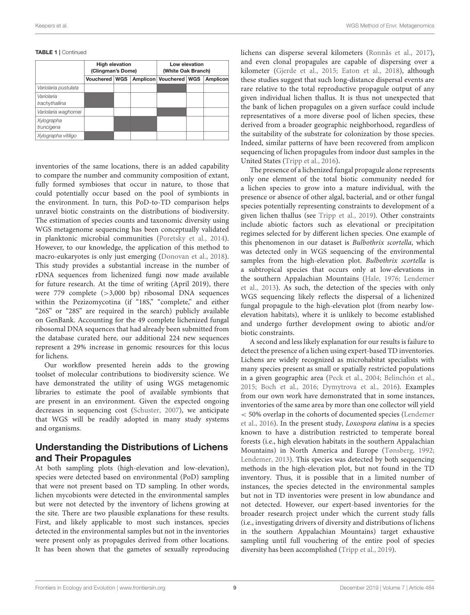#### TABLE 1 | Continued

|                              | <b>High elevation</b><br>(Clingman's Dome) |  |  | Low elevation<br>(White Oak Branch) |  |          |
|------------------------------|--------------------------------------------|--|--|-------------------------------------|--|----------|
|                              | Vouchered   WGS                            |  |  | Amplicon   Vouchered   WGS          |  | Amplicon |
| Variolaria pustulata         |                                            |  |  |                                     |  |          |
| Variolaria<br>trachythallina |                                            |  |  |                                     |  |          |
| Variolaria waghornei         |                                            |  |  |                                     |  |          |
| Xylographa<br>truncigena     |                                            |  |  |                                     |  |          |
| Xylographa vitiligo          |                                            |  |  |                                     |  |          |

inventories of the same locations, there is an added capability to compare the number and community composition of extant, fully formed symbioses that occur in nature, to those that could potentially occur based on the pool of symbionts in the environment. In turn, this PoD-to-TD comparison helps unravel biotic constraints on the distributions of biodiversity. The estimation of species counts and taxonomic diversity using WGS metagenome sequencing has been conceptually validated in planktonic microbial communities [\(Poretsky et al., 2014\)](#page-13-27). However, to our knowledge, the application of this method to macro-eukaryotes is only just emerging [\(Donovan et al., 2018\)](#page-12-25). This study provides a substantial increase in the number of rDNA sequences from lichenized fungi now made available for future research. At the time of writing (April 2019), there were 779 complete (>3,000 bp) ribosomal DNA sequences within the Pezizomycotina (if "18S," "complete," and either "26S" or "28S" are required in the search) publicly available on GenBank. Accounting for the 49 complete lichenized fungal ribosomal DNA sequences that had already been submitted from the database curated here, our additional 224 new sequences represent a 29% increase in genomic resources for this locus for lichens.

Our workflow presented herein adds to the growing toolset of molecular contributions to biodiversity science. We have demonstrated the utility of using WGS metagenomic libraries to estimate the pool of available symbionts that are present in an environment. Given the expected ongoing decreases in sequencing cost [\(Schuster, 2007\)](#page-13-28), we anticipate that WGS will be readily adopted in many study systems and organisms.

#### Understanding the Distributions of Lichens and Their Propagules

At both sampling plots (high-elevation and low-elevation), species were detected based on environmental (PoD) sampling that were not present based on TD sampling. In other words, lichen mycobionts were detected in the environmental samples but were not detected by the inventory of lichens growing at the site. There are two plausible explanations for these results. First, and likely applicable to most such instances, species detected in the environmental samples but not in the inventories were present only as propagules derived from other locations. It has been shown that the gametes of sexually reproducing lichens can disperse several kilometers [\(Ronnås et al., 2017\)](#page-13-29), and even clonal propagules are capable of dispersing over a kilometer [\(Gjerde et al., 2015;](#page-12-26) [Eaton et al., 2018\)](#page-12-15), although these studies suggest that such long-distance dispersal events are rare relative to the total reproductive propagule output of any given individual lichen thallus. It is thus not unexpected that the bank of lichen propagules on a given surface could include representatives of a more diverse pool of lichen species, these derived from a broader geographic neighborhood, regardless of the suitability of the substrate for colonization by those species. Indeed, similar patterns of have been recovered from amplicon sequencing of lichen propagules from indoor dust samples in the United States [\(Tripp et al., 2016\)](#page-13-30).

The presence of a lichenized fungal propagule alone represents only one element of the total biotic community needed for a lichen species to grow into a mature individual, with the presence or absence of other algal, bacterial, and or other fungal species potentially representing constraints to development of a given lichen thallus (see [Tripp et al., 2019\)](#page-13-23). Other constraints include abiotic factors such as elevational or precipitation regimes selected for by different lichen species. One example of this phenomenon in our dataset is Bulbothrix scortella, which was detected only in WGS sequencing of the environmental samples from the high-elevation plot. Bulbothrix scortella is a subtropical species that occurs only at low-elevations in the southern Appalachian Mountains [\(Hale, 1976;](#page-12-27) Lendemer et al., [2013\)](#page-12-18). As such, the detection of the species with only WGS sequencing likely reflects the dispersal of a lichenized fungal propagule to the high-elevation plot (from nearby lowelevation habitats), where it is unlikely to become established and undergo further development owing to abiotic and/or biotic constraints.

A second and less likely explanation for our results is failure to detect the presence of a lichen using expert-based TD inventories. Lichens are widely recognized as microhabitat specialists with many species present as small or spatially restricted populations in a given geographic area [\(Peck et al., 2004;](#page-13-31) [Belinchón et al.,](#page-11-22) [2015;](#page-11-22) [Boch et al., 2016;](#page-11-23) [Dymytrova et al., 2016\)](#page-12-28). Examples from our own work have demonstrated that in some instances, inventories of the same area by more than one collector will yield < 50% overlap in the cohorts of documented species (Lendemer et al., [2016\)](#page-12-29). In the present study, Loxospora elatina is a species known to have a distribution restricted to temperate boreal forests (i.e., high elevation habitats in the southern Appalachian Mountains) in North America and Europe [\(Tønsberg, 1992;](#page-13-32) [Lendemer, 2013\)](#page-12-30). This species was detected by both sequencing methods in the high-elevation plot, but not found in the TD inventory. Thus, it is possible that in a limited number of instances, the species detected in the environmental samples but not in TD inventories were present in low abundance and not detected. However, our expert-based inventories for the broader research project under which the current study falls (i.e., investigating drivers of diversity and distributions of lichens in the southern Appalachian Mountains) target exhaustive sampling until full vouchering of the entire pool of species diversity has been accomplished [\(Tripp et al., 2019\)](#page-13-23).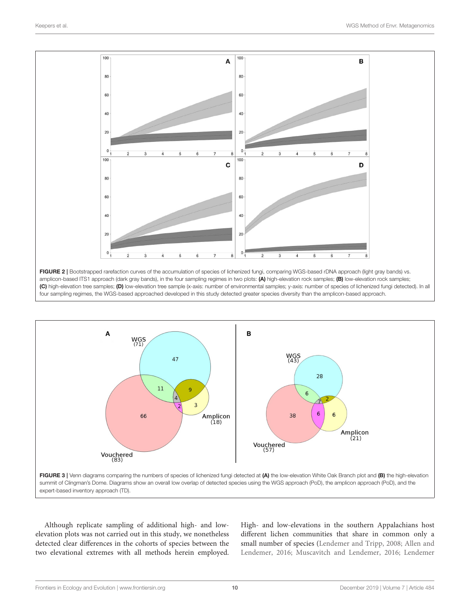

<span id="page-9-0"></span>

<span id="page-9-1"></span>Although replicate sampling of additional high- and lowelevation plots was not carried out in this study, we nonetheless detected clear differences in the cohorts of species between the two elevational extremes with all methods herein employed. High- and low-elevations in the southern Appalachians host different lichen communities that share in common only a small number of species [\(Lendemer and Tripp, 2008;](#page-12-31) Allen and Lendemer, [2016;](#page-11-24) [Muscavitch and Lendemer, 2016;](#page-12-32) Lendemer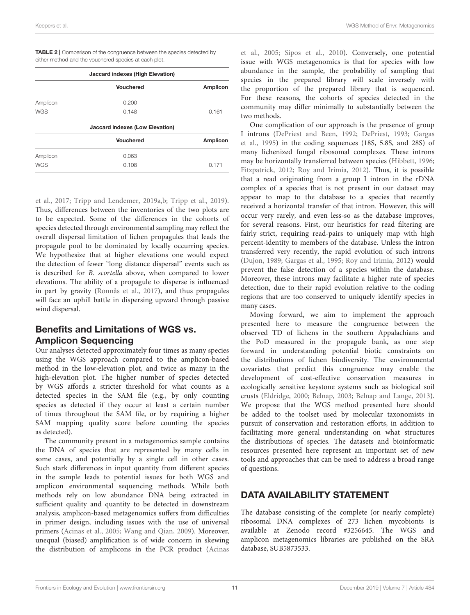| <b>Jaccard indexes (High Elevation)</b> |                                        |                 |  |  |  |
|-----------------------------------------|----------------------------------------|-----------------|--|--|--|
|                                         | <b>Vouchered</b>                       | Amplicon        |  |  |  |
| Amplicon                                | 0.200                                  |                 |  |  |  |
| <b>WGS</b>                              | 0.148                                  | 0.161           |  |  |  |
|                                         | <b>Jaccard indexes (Low Elevation)</b> |                 |  |  |  |
|                                         | Vouchered                              | <b>Amplicon</b> |  |  |  |
| Amplicon                                | 0.063                                  |                 |  |  |  |
| <b>WGS</b>                              | 0.108                                  | 0.171           |  |  |  |

<span id="page-10-0"></span>TABLE 2 | Comparison of the congruence between the species detected by either method and the vouchered species at each plot.

et al., [2017;](#page-12-33) [Tripp and Lendemer, 2019a,](#page-13-21)[b;](#page-13-22) [Tripp et al., 2019\)](#page-13-23). Thus, differences between the inventories of the two plots are to be expected. Some of the differences in the cohorts of species detected through environmental sampling may reflect the overall dispersal limitation of lichen propagules that leads the propagule pool to be dominated by locally occurring species. We hypothesize that at higher elevations one would expect the detection of fewer "long distance dispersal" events such as is described for B. scortella above, when compared to lower elevations. The ability of a propagule to disperse is influenced in part by gravity [\(Ronnås et al., 2017\)](#page-13-29), and thus propagules will face an uphill battle in dispersing upward through passive wind dispersal.

### Benefits and Limitations of WGS vs. Amplicon Sequencing

Our analyses detected approximately four times as many species using the WGS approach compared to the amplicon-based method in the low-elevation plot, and twice as many in the high-elevation plot. The higher number of species detected by WGS affords a stricter threshold for what counts as a detected species in the SAM file (e.g., by only counting species as detected if they occur at least a certain number of times throughout the SAM file, or by requiring a higher SAM mapping quality score before counting the species as detected).

The community present in a metagenomics sample contains the DNA of species that are represented by many cells in some cases, and potentially by a single cell in other cases. Such stark differences in input quantity from different species in the sample leads to potential issues for both WGS and amplicon environmental sequencing methods. While both methods rely on low abundance DNA being extracted in sufficient quality and quantity to be detected in downstream analysis, amplicon-based metagenomics suffers from difficulties in primer design, including issues with the use of universal primers [\(Acinas et al., 2005;](#page-11-6) [Wang and Qian, 2009\)](#page-13-9). Moreover, unequal (biased) amplification is of wide concern in skewing the distribution of amplicons in the PCR product (Acinas et al., [2005;](#page-11-6) [Sipos et al., 2010\)](#page-13-33). Conversely, one potential issue with WGS metagenomics is that for species with low abundance in the sample, the probability of sampling that species in the prepared library will scale inversely with the proportion of the prepared library that is sequenced. For these reasons, the cohorts of species detected in the community may differ minimally to substantially between the two methods.

One complication of our approach is the presence of group I introns [\(DePriest and Been, 1992;](#page-12-34) [DePriest, 1993;](#page-12-35) Gargas et al., [1995\)](#page-12-36) in the coding sequences (18S, 5.8S, and 28S) of many lichenized fungal ribosomal complexes. These introns may be horizontally transferred between species [\(Hibbett, 1996;](#page-12-37) [Fitzpatrick, 2012;](#page-12-38) [Roy and Irimia, 2012\)](#page-13-34). Thus, it is possible that a read originating from a group I intron in the rDNA complex of a species that is not present in our dataset may appear to map to the database to a species that recently received a horizontal transfer of that intron. However, this will occur very rarely, and even less-so as the database improves, for several reasons. First, our heuristics for read filtering are fairly strict, requiring read-pairs to uniquely map with high percent-identity to members of the database. Unless the intron transferred very recently, the rapid evolution of such introns [\(Dujon, 1989;](#page-12-39) [Gargas et al., 1995;](#page-12-36) [Roy and Irimia, 2012\)](#page-13-34) would prevent the false detection of a species within the database. Moreover, these introns may facilitate a higher rate of species detection, due to their rapid evolution relative to the coding regions that are too conserved to uniquely identify species in many cases.

Moving forward, we aim to implement the approach presented here to measure the congruence between the observed TD of lichens in the southern Appalachians and the PoD measured in the propagule bank, as one step forward in understanding potential biotic constraints on the distributions of lichen biodiversity. The environmental covariates that predict this congruence may enable the development of cost-effective conservation measures in ecologically sensitive keystone systems such as biological soil crusts [\(Eldridge, 2000;](#page-12-40) [Belnap, 2003;](#page-11-25) [Belnap and Lange, 2013\)](#page-11-26). We propose that the WGS method presented here should be added to the toolset used by molecular taxonomists in pursuit of conservation and restoration efforts, in addition to facilitating more general understanding on what structures the distributions of species. The datasets and bioinformatic resources presented here represent an important set of new tools and approaches that can be used to address a broad range of questions.

### DATA AVAILABILITY STATEMENT

The database consisting of the complete (or nearly complete) ribosomal DNA complexes of 273 lichen mycobionts is available at Zenodo record #3256645. The WGS and amplicon metagenomics libraries are published on the SRA database, SUB5873533.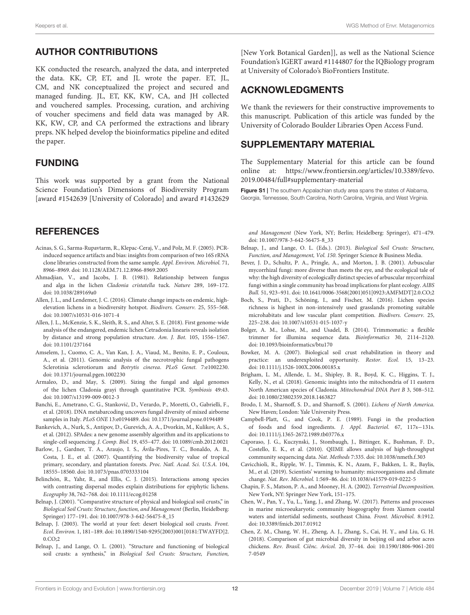### AUTHOR CONTRIBUTIONS

KK conducted the research, analyzed the data, and interpreted the data. KK, CP, ET, and JL wrote the paper. ET, JL, CM, and NK conceptualized the project and secured and managed funding. JL, ET, KK, KW, CA, and JH collected and vouchered samples. Processing, curation, and archiving of voucher specimens and field data was managed by AR. KK, KW, CP, and CA performed the extractions and library preps. NK helped develop the bioinformatics pipeline and edited the paper.

#### FUNDING

This work was supported by a grant from the National Science Foundation's Dimensions of Biodiversity Program [award #1542639 [University of Colorado] and award #1432629

### **REFERENCES**

- <span id="page-11-6"></span>Acinas, S. G., Sarma-Rupavtarm, R., Klepac-Ceraj, V., and Polz, M. F. (2005). PCRinduced sequence artifacts and bias: insights from comparison of two 16S rRNA clone libraries constructed from the same sample. Appl. Environ. Microbiol. 71, 8966–8969. doi: [10.1128/AEM.71.12.8966-8969.2005](https://doi.org/10.1128/AEM.71.12.8966-8969.2005)
- <span id="page-11-11"></span>Ahmadjian, V., and Jacobs, J. B. (1981). Relationship between fungus and alga in the lichen Cladonia cristatella tuck. Nature 289, 169–172. doi: [10.1038/289169a0](https://doi.org/10.1038/289169a0)
- <span id="page-11-24"></span>Allen, J. L., and Lendemer, J. C. (2016). Climate change impacts on endemic, highelevation lichens in a biodiversity hotspot. Biodivers. Conserv. 25, 555–568. doi: [10.1007/s10531-016-1071-4](https://doi.org/10.1007/s10531-016-1071-4)
- <span id="page-11-16"></span>Allen, J. L., McKenzie, S. K., Sleith, R. S., and Alter, S. E. (2018). First genome-wide analysis of the endangered, endemic lichen Cetradonia linearis reveals isolation by distance and strong population structure. Am. J. Bot. 105, 1556–1567. doi: [10.1101/237164](https://doi.org/10.1101/237164)
- <span id="page-11-9"></span>Amselem, J., Cuomo, C. A., Van Kan, J. A., Viaud, M., Benito, E. P., Couloux, A., et al. (2011). Genomic analysis of the necrotrophic fungal pathogens Sclerotinia sclerotiorum and Botrytis cinerea. PLoS Genet. 7:e1002230. doi: [10.1371/journal.pgen.1002230](https://doi.org/10.1371/journal.pgen.1002230)
- <span id="page-11-15"></span>Armaleo, D., and May, S. (2009). Sizing the fungal and algal genomes of the lichen Cladonia grayi through quantitative PCR. Symbiosis 49:43. doi: [10.1007/s13199-009-0012-3](https://doi.org/10.1007/s13199-009-0012-3)
- <span id="page-11-18"></span>Banchi, E., Ametrano, C. G., Stankovic, D., Verardo, P., Moretti, O., Gabrielli, F., ´ et al. (2018). DNA metabarcoding uncovers fungal diversity of mixed airborne samples in Italy. PLoS ONE 13:e0194489. doi: [10.1371/journal.pone.0194489](https://doi.org/10.1371/journal.pone.0194489)
- <span id="page-11-21"></span>Bankevich, A., Nurk, S., Antipov, D., Gurevich, A. A., Dvorkin, M., Kulikov, A. S., et al. (2012). SPAdes: a new genome assembly algorithm and its applications to single-cell sequencing. J. Comp. Biol. 19, 455–477. doi: [10.1089/cmb.2012.0021](https://doi.org/10.1089/cmb.2012.0021)
- <span id="page-11-2"></span>Barlow, J., Gardner, T. A., Araujo, I. S., Ávila-Pires, T. C., Bonaldo, A. B., Costa, J. E., et al. (2007). Quantifying the biodiversity value of tropical primary, secondary, and plantation forests. Proc. Natl. Acad. Sci. U.S.A. 104, 18555–18560. doi: [10.1073/pnas.0703333104](https://doi.org/10.1073/pnas.0703333104)
- <span id="page-11-22"></span>Belinchón, R., Yahr, R., and Ellis, C. J. (2015). Interactions among species with contrasting dispersal modes explain distributions for epiphytic lichens. Ecography 38, 762–768. doi: [10.1111/ecog.01258](https://doi.org/10.1111/ecog.01258)
- <span id="page-11-13"></span>Belnap, J. (2001). "Comparative structure of physical and biological soil crusts," in Biological Soil Crusts: Structure, function, and Management (Berlin, Heidelberg: Springer) 177–191. doi: [10.1007/978-3-642-56475-8\\_15](https://doi.org/10.1007/978-3-642-56475-8_15)
- <span id="page-11-25"></span>Belnap, J. (2003). The world at your feet: desert biological soil crusts. Front. Ecol. Environ. [1, 181–189. doi: 10.1890/1540-9295\(2003\)001\[0181:TWAYFD\]2.](https://doi.org/10.1890/1540-9295(2003)001[0181:TWAYFD]2.0.CO;2) 0.CO;2
- <span id="page-11-14"></span>Belnap, J., and Lange, O. L. (2001). "Structure and functioning of biological soil crusts: a synthesis," in Biological Soil Crusts: Structure, Function,

[New York Botanical Garden]], as well as the National Science Foundation's IGERT award #1144807 for the IQBiology program at University of Colorado's BioFrontiers Institute.

#### ACKNOWLEDGMENTS

We thank the reviewers for their constructive improvements to this manuscript. Publication of this article was funded by the University of Colorado Boulder Libraries Open Access Fund.

#### SUPPLEMENTARY MATERIAL

<span id="page-11-19"></span>The Supplementary Material for this article can be found [online at: https://www.frontiersin.org/articles/10.3389/fevo.](https://www.frontiersin.org/articles/10.3389/fevo.2019.00484/full#supplementary-material) 2019.00484/full#supplementary-material

Figure S1 | The southern Appalachian study area spans the states of Alabama, Georgia, Tennessee, South Carolina, North Carolina, Virginia, and West Virginia.

and Management (New York, NY; Berlin; Heidelberg: Springer), 471–479. doi: [10.1007/978-3-642-56475-8\\_33](https://doi.org/10.1007/978-3-642-56475-8_33)

- <span id="page-11-26"></span>Belnap, J., and Lange, O. L. (Eds.). (2013). Biological Soil Crusts: Structure, Function, and Management, Vol. 150. Springer Science & Business Media.
- <span id="page-11-10"></span>Bever, J. D., Schultz, P. A., Pringle, A., and Morton, J. B. (2001). Arbuscular mycorrhizal fungi: more diverse than meets the eye, and the ecological tale of why: the high diversity of ecologically distinct species of arbuscular mycorrhizal fungi within a single community has broad implications for plant ecology. AIBS Bull. 51, 923–931. doi: [10.1641/0006-3568\(2001\)051\[0923:AMFMDT\]2.0.CO;2](https://doi.org/10.1641/0006-3568(2001)051[0923:AMFMDT]2.0.CO;2)
- <span id="page-11-23"></span>Boch, S., Prati, D., Schöning, I., and Fischer, M. (2016). Lichen species richness is highest in non-intensively used grasslands promoting suitable microhabitats and low vascular plant competition. Biodivers. Conserv. 25, 225–238. doi: [10.1007/s10531-015-1037-y](https://doi.org/10.1007/s10531-015-1037-y)
- <span id="page-11-20"></span>Bolger, A. M., Lohse, M., and Usadel, B. (2014). Trimmomatic: a flexible trimmer for illumina sequence data. Bioinformatics 30, 2114–2120. doi: [10.1093/bioinformatics/btu170](https://doi.org/10.1093/bioinformatics/btu170)
- <span id="page-11-3"></span>Bowker, M. A. (2007). Biological soil crust rehabilitation in theory and practice: an underexploited opportunity. Restor. Ecol. 15, 13–23. doi: [10.1111/j.1526-100X.2006.00185.x](https://doi.org/10.1111/j.1526-100X.2006.00185.x)
- <span id="page-11-17"></span>Brigham, L. M., Allende, L. M., Shipley, B. R., Boyd, K. C., Higgins, T. J., Kelly, N., et al. (2018). Genomic insights into the mitochondria of 11 eastern North American species of Cladonia. Mitochondrial DNA Part B 3, 508–512. doi: [10.1080/23802359.2018.1463827](https://doi.org/10.1080/23802359.2018.1463827)
- <span id="page-11-12"></span>Brodo, I. M., Sharnoff, S. D., and Sharnoff, S. (2001). Lichens of North America. New Haven; London: Yale University Press.
- <span id="page-11-8"></span>Campbell-Platt, G., and Cook, P. E. (1989). Fungi in the production of foods and food ingredients. J. Appl. Bacteriol. 67, 117s−131s. doi: [10.1111/j.1365-2672.1989.tb03776.x](https://doi.org/10.1111/j.1365-2672.1989.tb03776.x)
- <span id="page-11-5"></span>Caporaso, J. G., Kuczynski, J., Stombaugh, J., Bittinger, K., Bushman, F. D., Costello, E. K., et al. (2010). QIIME allows analysis of high-throughput community sequencing data. Nat. Methods 7:335. doi: [10.1038/nmeth.f.303](https://doi.org/10.1038/nmeth.f.303)
- <span id="page-11-1"></span>Cavicchioli, R., Ripple, W. J., Timmis, K. N., Azam, F., Bakken, L. R., Baylis, M., et al. (2019). Scientists' warning to humanity: microorganisms and climate change. Nat. Rev. Microbiol. 1:569–86. doi: [10.1038/s41579-019-0222-5](https://doi.org/10.1038/s41579-019-0222-5)
- <span id="page-11-7"></span>Chapin, F. S., Matson, P. A., and Mooney, H. A. (2002). Terrestrial Decomposition. New York, NY: Springer New York, 151–175.
- <span id="page-11-4"></span>Chen, W., Pan, Y., Yu, L., Yang, J., and Zhang, W. (2017). Patterns and processes in marine microeukaryotic community biogeography from Xiamen coastal waters and intertidal sediments, southeast China. Front. Microbiol. 8:1912. doi: [10.3389/fmicb.2017.01912](https://doi.org/10.3389/fmicb.2017.01912)
- <span id="page-11-0"></span>Chen, Z. M., Chang, W. H., Zheng, A. J., Zhang, S., Cai, H. Y., and Liu, G. H. (2018). Comparison of gut microbial diversity in beijing oil and arbor acres chickens. Rev. Brasil. Ciênc. Avícol. [20, 37–44. doi: 10.1590/1806-9061-201](https://doi.org/10.1590/1806-9061-2017-0549) 7-0549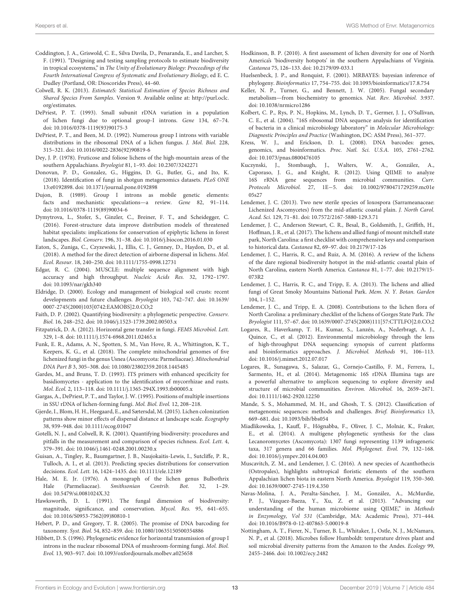- <span id="page-12-24"></span>Coddington, J. A., Griswold, C. E., Silva Davila, D., Penaranda, E., and Larcher, S. F. (1991). "Designing and testing sampling protocols to estimate biodiversity in tropical ecosystems," in The Unity of Evolutionary Biology: Proceedings of the Fourth International Congress of Systematic and Evolutionary Biology, ed E. C. Dudley (Portland, OR: Dioscorides Press), 44–60.
- <span id="page-12-23"></span>Colwell, R. K. (2013). EstimateS: Statistical Estimation of Species Richness and Shared Species From Samples. Version 9. Available online at: [http://purl.oclc.](http://purl.oclc.org/estimates) [org/estimates.](http://purl.oclc.org/estimates)
- <span id="page-12-35"></span>DePriest, P. T. (1993). Small subunit rDNA variation in a population of lichen fungi due to optional group-I introns. Gene 134, 67–74. doi: [10.1016/0378-1119\(93\)90175-3](https://doi.org/10.1016/0378-1119(93)90175-3)
- <span id="page-12-34"></span>DePriest, P. T., and Been, M. D. (1992). Numerous group I introns with variable distributions in the ribosomal DNA of a lichen fungus. J. Mol. Biol. 228, 315–321. doi: [10.1016/0022-2836\(92\)90819-6](https://doi.org/10.1016/0022-2836(92)90819-6)
- <span id="page-12-16"></span>Dey, J. P. (1978). Fruticose and foliose lichens of the high-mountain areas of the southern Appalachians. Bryologist 81, 1–93. doi: [10.2307/3242271](https://doi.org/10.2307/3242271)
- <span id="page-12-25"></span>Donovan, P. D., Gonzalez, G., Higgins, D. G., Butler, G., and Ito, K. (2018). Identification of fungi in shotgun metagenomics datasets. PLoS ONE 13:e0192898. doi: [10.1371/journal.pone.0192898](https://doi.org/10.1371/journal.pone.0192898)
- <span id="page-12-39"></span>Dujon, B. (1989). Group I introns as mobile genetic elements: facts and mechanistic speculations—a review. Gene 82, 91–114. doi: [10.1016/0378-1119\(89\)90034-6](https://doi.org/10.1016/0378-1119(89)90034-6)
- <span id="page-12-28"></span>Dymytrova, L., Stofer, S., Ginzler, C., Breiner, F. T., and Scheidegger, C. (2016). Forest-structure data improve distribution models of threatened habitat specialists: implications for conservation of epiphytic lichens in forest landscapes. Biol. Conserv. 196, 31–38. doi: [10.1016/j.biocon.2016.01.030](https://doi.org/10.1016/j.biocon.2016.01.030)
- <span id="page-12-15"></span>Eaton, S., Zuniga, C., Czyzewski, J., Ellis, C. J., Genney, D., Haydon, D., et al. (2018). A method for the direct detection of airborne dispersal in lichens. Mol. Ecol. Resour. 18, 240–250. doi: [10.1111/1755-0998.12731](https://doi.org/10.1111/1755-0998.12731)
- <span id="page-12-20"></span>Edgar, R. C. (2004). MUSCLE: multiple sequence alignment with high accuracy and high throughput. Nucleic Acids Res. 32, 1792–1797. doi: [10.1093/nar/gkh340](https://doi.org/10.1093/nar/gkh340)
- <span id="page-12-40"></span>Eldridge, D. (2000). Ecology and management of biological soil crusts: recent developments and future challenges. Bryologist 103, 742–747. doi: 10.1639/ [0007-2745\(2000\)103\[0742:EAMOBS\]2.0.CO;2](https://doi.org/10.1639/0007-2745(2000)103[0742:EAMOBS]2.0.CO;2)
- <span id="page-12-2"></span>Faith, D. P. (2002). Quantifying biodiversity: a phylogenetic perspective. Conserv. Biol. 16, 248–252. doi: [10.1046/j.1523-1739.2002.00503.x](https://doi.org/10.1046/j.1523-1739.2002.00503.x)
- <span id="page-12-38"></span>Fitzpatrick, D. A. (2012). Horizontal gene transfer in fungi. FEMS Microbiol. Lett. 329, 1–8. doi: [10.1111/j.1574-6968.2011.02465.x](https://doi.org/10.1111/j.1574-6968.2011.02465.x)
- <span id="page-12-14"></span>Funk, E. R., Adams, A. N., Spotten, S. M., Van Hove, R. A., Whittington, K. T., Keepers, K. G., et al. (2018). The complete mitochondrial genomes of five lichenized fungi in the genus Usnea (Ascomycota: Parmeliaceae). Mitochondrial DNA Part B 3, 305–308. doi: [10.1080/23802359.2018.1445485](https://doi.org/10.1080/23802359.2018.1445485)
- <span id="page-12-19"></span>Gardes, M., and Bruns, T. D. (1993). ITS primers with enhanced specificity for basidiomycetes - application to the identification of mycorrhizae and rusts. Mol. Ecol. 2, 113–118. doi: [10.1111/j.1365-294X.1993.tb00005.x](https://doi.org/10.1111/j.1365-294X.1993.tb00005.x)
- <span id="page-12-36"></span>Gargas, A., DePriest, P. T., and Taylor, J. W. (1995). Positions of multiple insertions in SSU rDNA of lichen-forming fungi. Mol. Biol. Evol. 12, 208–218.
- <span id="page-12-26"></span>Gjerde, I., Blom, H. H., Heegaard, E., and Sætersdal, M. (2015). Lichen colonization patterns show minor effects of dispersal distance at landscape scale. Ecography 38, 939–948. doi: [10.1111/ecog.01047](https://doi.org/10.1111/ecog.01047)
- <span id="page-12-1"></span>Gotelli, N. J., and Colwell, R. K. (2001). Quantifying biodiversity: procedures and pitfalls in the measurement and comparison of species richness. Ecol. Lett. 4, 379–391. doi: [10.1046/j.1461-0248.2001.00230.x](https://doi.org/10.1046/j.1461-0248.2001.00230.x)
- <span id="page-12-3"></span>Guisan, A., Tingley, R., Baumgartner, J. B., Naujokaitis-Lewis, I., Sutcliffe, P. R., Tulloch, A. I., et al. (2013). Predicting species distributions for conservation decisions. Ecol. Lett. 16, 1424–1435. doi: [10.1111/ele.12189](https://doi.org/10.1111/ele.12189)
- <span id="page-12-27"></span>Hale, M. E. Jr. (1976). A monograph of the lichen genus Bulbothrix Hale (Parmeliaceae). Smithsonian Contrib. Bot. 32, 1–29. doi: [10.5479/si.0081024X.32](https://doi.org/10.5479/si.0081024X.32)
- <span id="page-12-13"></span>Hawksworth, D. L. (1991). The fungal dimension of biodiversity: magnitude, significance, and conservation. Mycol. Res. 95, 641–655. doi: [10.1016/S0953-7562\(09\)80810-1](https://doi.org/10.1016/S0953-7562(09)80810-1)
- <span id="page-12-7"></span>Hebert, P. D., and Gregory, T. R. (2005). The promise of DNA barcoding for taxonomy. Syst. Biol. 54, 852–859. doi: [10.1080/10635150500354886](https://doi.org/10.1080/10635150500354886)
- <span id="page-12-37"></span>Hibbett, D. S. (1996). Phylogenetic evidence for horizontal transmission of group I introns in the nuclear ribosomal DNA of mushroom-forming fungi. Mol. Biol. Evol. 13, 903–917. doi: [10.1093/oxfordjournals.molbev.a025658](https://doi.org/10.1093/oxfordjournals.molbev.a025658)
- <span id="page-12-17"></span>Hodkinson, B. P. (2010). A first assessment of lichen diversity for one of North America's 'biodiversity hotspots' in the southern Appalachians of Virginia. Castanea 75, 126–133. doi: [10.2179/09-033.1](https://doi.org/10.2179/09-033.1)
- <span id="page-12-21"></span>Huelsenbeck, J. P., and Ronquist, F. (2001). MRBAYES: bayesian inference of phylogeny. Bioinformatics 17, 754–755. doi: [10.1093/bioinformatics/17.8.754](https://doi.org/10.1093/bioinformatics/17.8.754)
- <span id="page-12-12"></span>Keller, N. P., Turner, G., and Bennett, J. W. (2005). Fungal secondary metabolism—from biochemistry to genomics. Nat. Rev. Microbiol. 3:937. doi: [10.1038/nrmicro1286](https://doi.org/10.1038/nrmicro1286)
- <span id="page-12-9"></span>Kolbert, C. P., Rys, P. N., Hopkins, M., Lynch, D. T., Germer, J. J., O'Sullivan, C. E., et al. (2004). "16S ribosomal DNA sequence analysis for identification of bacteria in a clinical microbiology laboratory" in Molecular Microbiology: Diagnostic Principles and Practice (Washington, DC: ASM Press), 361–377.
- <span id="page-12-8"></span>Kress, W. J., and Erickson, D. L. (2008). DNA barcodes: genes, genomics, and bioinformatics. Proc. Natl. Sci. U.S.A. 105, 2761–2762. doi: [10.1073/pnas.0800476105](https://doi.org/10.1073/pnas.0800476105)
- <span id="page-12-10"></span>Kuczynski, J., Stombaugh, J., Walters, W. A., González, A., Caporaso, J. G., and Knight, R. (2012). Using QIIME to analyze 16S rRNA gene sequences from microbial communities. Curr. Protocols Microbiol. 27, 1E−[5. doi: 10.1002/9780471729259.mc01e](https://doi.org/10.1002/9780471729259.mc01e05s27) 05s27
- <span id="page-12-30"></span>Lendemer, J. C. (2013). Two new sterile species of loxospora (Sarrameanaceae: Lichenized Ascomycetes) from the mid-atlantic coastal plain. J. North Carol. Acad. Sci. 129, 71–81. doi: [10.7572/2167-5880-129.3.71](https://doi.org/10.7572/2167-5880-129.3.71)
- <span id="page-12-33"></span>Lendemer, J. C., Anderson Stewart, C. R., Besal, B., Goldsmith, J., Griffith, H., Hoffman, J. R., et al. (2017). The lichens and allied fungi of mount mitchell state park, North Carolina: a first checklist with comprehensive keys and comparison to historical data. Castanea 82, 69–97. doi: [10.2179/17-126](https://doi.org/10.2179/17-126)
- <span id="page-12-29"></span>Lendemer, J. C., Harris, R. C., and Ruiz, A. M. (2016). A review of the lichens of the dare regional biodiversity hotspot in the mid-atlantic coastal plain of [North Carolina, eastern North America.](https://doi.org/10.2179/15-073R2) Castanea 81, 1–77. doi: 10.2179/15- 073R2
- <span id="page-12-18"></span>Lendemer, J. C., Harris, R. C., and Tripp, E. A. (2013). The lichens and allied fungi of Great Smoky Mountains National Park. Mem. N. Y. Botan. Garden 104, 1–152.
- <span id="page-12-31"></span>Lendemer, J. C., and Tripp, E. A. (2008). Contributions to the lichen flora of North Carolina: a preliminary checklist of the lichens of Gorges State Park. The Bryologist 111, 57–67. doi: [10.1639/0007-2745\(2008\)111\[57:CTTLFO\]2.0.CO;2](https://doi.org/10.1639/0007-2745(2008)111[57:CTTLFO]2.0.CO;2)
- <span id="page-12-4"></span>Logares, R., Haverkamp, T. H., Kumar, S., Lanzén, A., Nederbragt, A. J., Quince, C., et al. (2012). Environmental microbiology through the lens of high-throughput DNA sequencing: synopsis of current platforms and bioinformatics approaches. J. Microbiol. Methods 91, 106–113. doi: [10.1016/j.mimet.2012.07.017](https://doi.org/10.1016/j.mimet.2012.07.017)
- <span id="page-12-5"></span>Logares, R., Sunagawa, S., Salazar, G., Cornejo-Castillo, F. M., Ferrera, I., Sarmento, H., et al. (2014). Metagenomic 16S rDNA Illumina tags are a powerful alternative to amplicon sequencing to explore diversity and structure of microbial communities. Environ. Microbiol. 16, 2659–2671. doi: [10.1111/1462-2920.12250](https://doi.org/10.1111/1462-2920.12250)
- <span id="page-12-6"></span>Mande, S. S., Mohammed, M. H., and Ghosh, T. S. (2012). Classification of metagenomic sequences: methods and challenges. Brief. Bioinformatics 13, 669–681. doi: [10.1093/bib/bbs054](https://doi.org/10.1093/bib/bbs054)
- <span id="page-12-22"></span>Miadlikowska, J., Kauff, F., Högnabba, F., Oliver, J. C., Molnár, K., Fraker, E., et al. (2014). A multigene phylogenetic synthesis for the class Lecanoromycetes (Ascomycota): 1307 fungi representing 1139 infrageneric taxa, 317 genera and 66 families. Mol. Phylogenet. Evol. 79, 132–168. doi: [10.1016/j.ympev.2014.04.003](https://doi.org/10.1016/j.ympev.2014.04.003)
- <span id="page-12-32"></span>Muscavitch, Z. M., and Lendemer, J. C. (2016). A new species of Acanthothecis (Ostropales), highlights subtropical floristic elements of the southern Appalachian lichen biota in eastern North America. Bryologist 119, 350–360. doi: [10.1639/0007-2745-119.4.350](https://doi.org/10.1639/0007-2745-119.4.350)
- <span id="page-12-11"></span>Navas-Molina, J. A., Peralta-Sánchez, J. M., González, A., McMurdie, P. J., Vázquez-Baeza, Y., Xu, Z. et al. (2013). "Advancing our understanding of the human microbiome using QIIME," in Methods in Enzymology, Vol 531 (Cambridge, MA: Academic Press), 371–444. doi: [10.1016/B978-0-12-407863-5.00019-8](https://doi.org/10.1016/B978-0-12-407863-5.00019-8)
- <span id="page-12-0"></span>Nottingham, A. T., Fierer, N., Turner, B. L., Whitaker, J., Ostle, N. J., McNamara, N. P., et al. (2018). Microbes follow Humboldt: temperature drives plant and soil microbial diversity patterns from the Amazon to the Andes. Ecology 99, 2455–2466. doi: [10.1002/ecy.2482](https://doi.org/10.1002/ecy.2482)